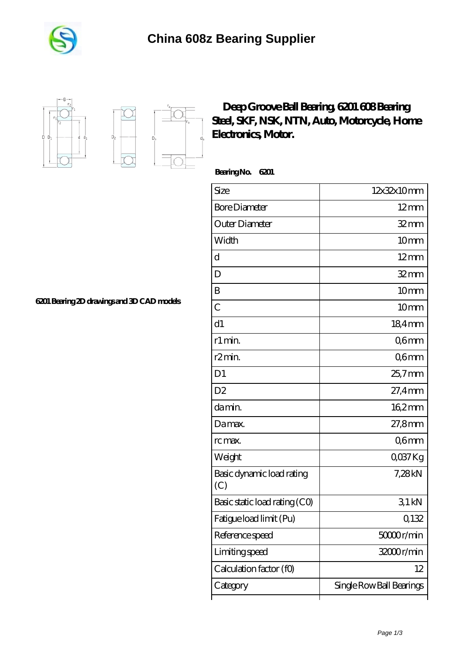





## **[Deep Groove Ball Bearing, 6201 608 Bearing](https://m.free-shooting-games.net/nsk-608-bearing/skf-6201.html) [Steel, SKF, NSK, NTN, Auto, Motorcycle, Home](https://m.free-shooting-games.net/nsk-608-bearing/skf-6201.html) [Electronics, Motor.](https://m.free-shooting-games.net/nsk-608-bearing/skf-6201.html)**

 **Bearing No. 6201**

| Size                             | 12x32x10mm               |
|----------------------------------|--------------------------|
| <b>Bore Diameter</b>             | $12 \text{mm}$           |
| Outer Diameter                   | $32$ mm                  |
| Width                            | 10mm                     |
| d                                | $12 \text{mm}$           |
| D                                | $32$ mm                  |
| B                                | 10 <sub>mm</sub>         |
| С                                | 10 <sub>mm</sub>         |
| d1                               | 184mm                    |
| r1 min.                          | Q6mm                     |
| r <sub>2</sub> min.              | Q6mm                     |
| D <sub>1</sub>                   | 25,7mm                   |
| D <sub>2</sub>                   | 27,4mm                   |
| da min.                          | $162$ <sub>mm</sub>      |
| Damax.                           | 27,8mm                   |
| rc max.                          | Q6mm                     |
| Weight                           | QO37Kg                   |
| Basic dynamic load rating<br>(C) | 7,28kN                   |
| Basic static load rating (CO)    | 31kN                     |
| Fatigue load limit (Pu)          | 0,132                    |
| Reference speed                  | 5000r/min                |
| Limiting speed                   | 32000r/min               |
| Calculation factor (f0)          | 12                       |
| Category                         | Single Row Ball Bearings |

**[6201 Bearing 2D drawings and 3D CAD models](https://m.free-shooting-games.net/pic-633646.html)**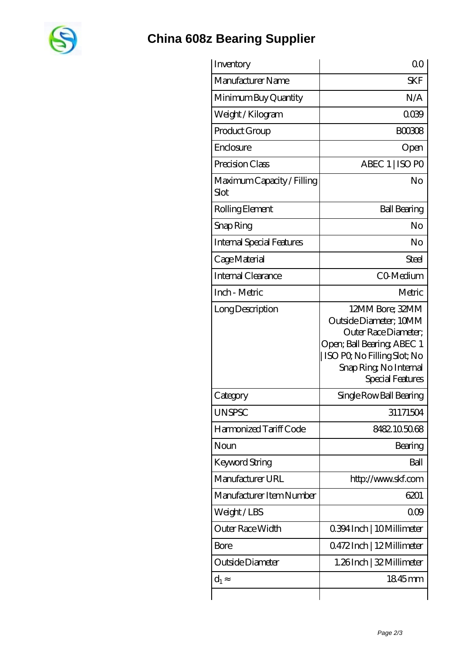

## **[China 608z Bearing Supplier](https://m.free-shooting-games.net)**

| Inventory                          | 0 <sup>0</sup>                                                                                                                                                              |
|------------------------------------|-----------------------------------------------------------------------------------------------------------------------------------------------------------------------------|
| Manufacturer Name                  | <b>SKF</b>                                                                                                                                                                  |
| Minimum Buy Quantity               | N/A                                                                                                                                                                         |
| Weight / Kilogram                  | 0039                                                                                                                                                                        |
| Product Group                      | <b>BOO308</b>                                                                                                                                                               |
| Enclosure                          | Open                                                                                                                                                                        |
| Precision Class                    | ABEC 1   ISO PO                                                                                                                                                             |
| Maximum Capacity / Filling<br>Slot | No                                                                                                                                                                          |
| Rolling Element                    | <b>Ball Bearing</b>                                                                                                                                                         |
| Snap Ring                          | No                                                                                                                                                                          |
| <b>Internal Special Features</b>   | No                                                                                                                                                                          |
| Cage Material                      | Steel                                                                                                                                                                       |
| <b>Internal Clearance</b>          | CO-Medium                                                                                                                                                                   |
| Inch - Metric                      | Metric                                                                                                                                                                      |
| Long Description                   | 12MM Bore; 32MM<br>Outside Diameter; 10MM<br>Outer Race Diameter;<br>Open; Ball Bearing; ABEC 1<br>ISO PQ No Filling Slot; No<br>Snap Ring, No Internal<br>Special Features |
| Category                           | Single Row Ball Bearing                                                                                                                                                     |
| <b>UNSPSC</b>                      | 31171504                                                                                                                                                                    |
| Harmonized Tariff Code             | 8482105068                                                                                                                                                                  |
| Noun                               | Bearing                                                                                                                                                                     |
| Keyword String                     | Ball                                                                                                                                                                        |
| Manufacturer URL                   | http://www.skf.com                                                                                                                                                          |
| Manufacturer Item Number           | 6201                                                                                                                                                                        |
| Weight/LBS                         | 000                                                                                                                                                                         |
| <b>Outer Race Width</b>            | 0.394 Inch   10 Millimeter                                                                                                                                                  |
| Bore                               | 0472Inch   12Millimeter                                                                                                                                                     |
| Outside Diameter                   | 1.26Inch   32 Millimeter                                                                                                                                                    |
| $d_1$                              | 1845mm                                                                                                                                                                      |
|                                    |                                                                                                                                                                             |